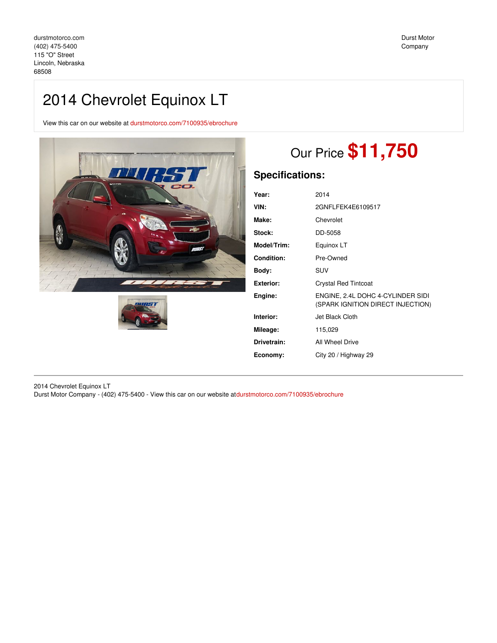## 2014 Chevrolet Equinox LT

View this car on our website at [durstmotorco.com/7100935/ebrochure](https://durstmotorco.com/vehicle/7100935/2014-chevrolet-equinox-lt-lincoln-nebraska-68508/7100935/ebrochure)





# Our Price **\$11,750**

### **Specifications:**

| Year:             | 2014                                                                   |
|-------------------|------------------------------------------------------------------------|
| VIN:              | 2GNFLFEK4E6109517                                                      |
| Make:             | Chevrolet                                                              |
| Stock:            | DD-5058                                                                |
| Model/Trim:       | Equinox LT                                                             |
| <b>Condition:</b> | Pre-Owned                                                              |
| Body:             | SUV                                                                    |
| Exterior:         | Crystal Red Tintcoat                                                   |
| Engine:           | ENGINE, 2.4L DOHC 4-CYLINDER SIDI<br>(SPARK IGNITION DIRECT INJECTION) |
| Interior:         | Jet Black Cloth                                                        |
| Mileage:          | 115,029                                                                |
| Drivetrain:       | All Wheel Drive                                                        |
| Economy:          | City 20 / Highway 29                                                   |
|                   |                                                                        |

2014 Chevrolet Equinox LT Durst Motor Company - (402) 475-5400 - View this car on our website at[durstmotorco.com/7100935/ebrochure](https://durstmotorco.com/vehicle/7100935/2014-chevrolet-equinox-lt-lincoln-nebraska-68508/7100935/ebrochure)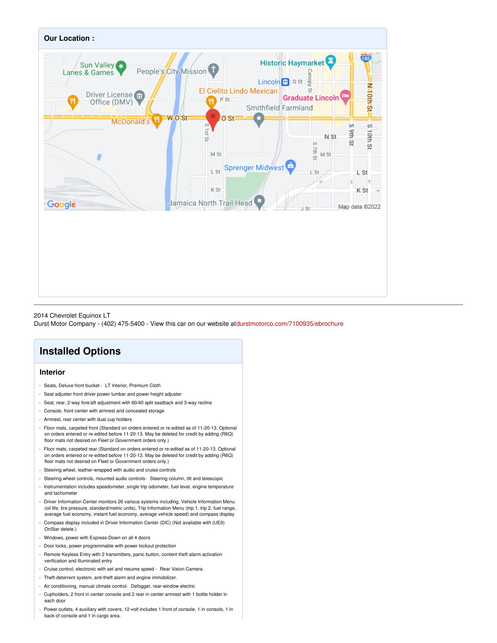

#### 2014 Chevrolet Equinox LT

Durst Motor Company - (402) 475-5400 - View this car on our website at[durstmotorco.com/7100935/ebrochure](https://durstmotorco.com/vehicle/7100935/2014-chevrolet-equinox-lt-lincoln-nebraska-68508/7100935/ebrochure)

### **Installed Options**

#### **Interior**

- Seats, Deluxe front bucket LT Interior, Premium Cloth
- Seat adjuster front driver power lumbar and power height adjuster
- Seat, rear, 2-way fore/aft adjustment with 60/40 split seatback and 3-way recline
- Console, front center with armrest and concealed storage
- Armrest, rear center with dual cup holders
- Floor mats, carpeted front (Standard on orders entered or re-edited as of 11-20-13. Optional on orders entered or re-edited before 11-20-13. May be deleted for credit by adding (R6Q) floor mats not desired on Fleet or Government orders only.)
- Floor mats, carpeted rear (Standard on orders entered or re-edited as of 11-20-13. Optional on orders entered or re-edited before 11-20-13. May be deleted for credit by adding (R6Q) floor mats not desired on Fleet or Government orders only.)
- Steering wheel, leather-wrapped with audio and cruise controls
- Steering wheel controls, mounted audio controls- Steering column, tilt and telescopic
- Instrumentation includes speedometer, single trip odometer, fuel level, engine temperature and tachometer
- Driver Information Center monitors 26 various systems including, Vehicle Information Menu (oil life, tire pressure, standard/metric units), Trip Information Menu (trip 1, trip 2, fuel range, average fuel economy, instant fuel economy, average vehicle speed) and compass display - Compass display included in Driver Information Center (DIC) (Not available with (UE0)
- OnStar delete.)
- Windows, power with Express-Down on all 4 doors
- Door locks, power programmable with power lockout protection
- Remote Keyless Entry with 2 transmitters, panic button, content theft alarm activation verification and illuminated entry
- Cruise control, electronic with set and resume speed Rear Vision Camera
- Theft-deterrent system, anti-theft alarm and engine immobilizer.
- Air conditioning, manual climate control- Defogger, rear-window electric
- Cupholders, 2 front in center console and 2 rear in center armrest with 1 bottle holder in each door
- Power outlets, 4 auxiliary with covers, 12-volt includes 1 front of console, 1 in console, 1 in back of console and 1 in cargo area.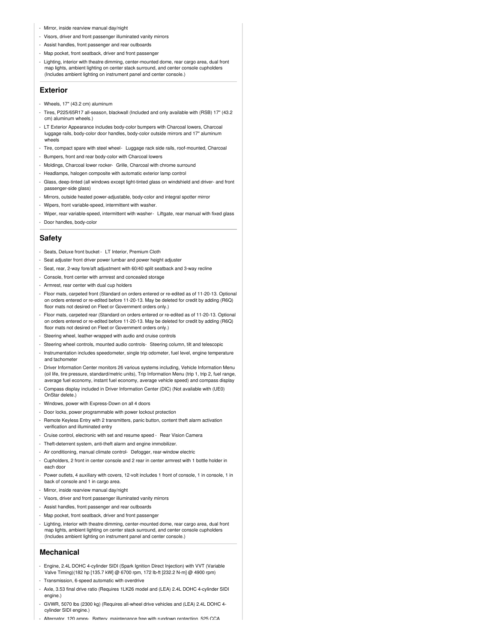- Mirror, inside rearview manual day/night
- Visors, driver and front passenger illuminated vanity mirrors
- Assist handles, front passenger and rear outboards
- Map pocket, front seatback, driver and front passenger
- Lighting, interior with theatre dimming, center-mounted dome, rear cargo area, dual front map lights, ambient lighting on center stack surround, and center console cupholders (Includes ambient lighting on instrument panel and center console.)

#### **Exterior**

- Wheels, 17" (43.2 cm) aluminum
- Tires, P225/65R17 all-season, blackwall (Included and only available with (RSB) 17" (43.2 cm) aluminum wheels.)
- LT Exterior Appearance includes body-color bumpers with Charcoal lowers, Charcoal luggage rails, body-color door handles, body-color outside mirrors and 17" aluminum wheels
- Tire, compact spare with steel wheel- Luggage rack side rails, roof-mounted, Charcoal
- Bumpers, front and rear body-color with Charcoal lowers
- Moldings, Charcoal lower rocker- Grille, Charcoal with chrome surround
- Headlamps, halogen composite with automatic exterior lamp control
- Glass, deep-tinted (all windows except light-tinted glass on windshield and driver- and front passenger-side glass)
- Mirrors, outside heated power-adjustable, body-color and integral spotter mirror
- Wipers, front variable-speed, intermittent with washer.
- Wiper, rear variable-speed, intermittent with washer- Liftgate, rear manual with fixed glass
- Door handles, body-color

#### **Safety**

- Seats, Deluxe front bucket LT Interior, Premium Cloth
- Seat adjuster front driver power lumbar and power height adjuster
- Seat, rear, 2-way fore/aft adjustment with 60/40 split seatback and 3-way recline
- Console, front center with armrest and concealed storage
- Armrest, rear center with dual cup holders
- Floor mats, carpeted front (Standard on orders entered or re-edited as of 11-20-13. Optional on orders entered or re-edited before 11-20-13. May be deleted for credit by adding (R6Q) floor mats not desired on Fleet or Government orders only.)
- Floor mats, carpeted rear (Standard on orders entered or re-edited as of 11-20-13. Optional on orders entered or re-edited before 11-20-13. May be deleted for credit by adding (R6Q) floor mats not desired on Fleet or Government orders only.)
- Steering wheel, leather-wrapped with audio and cruise controls
- Steering wheel controls, mounted audio controls- Steering column, tilt and telescopic
- Instrumentation includes speedometer, single trip odometer, fuel level, engine temperature and tachometer
- Driver Information Center monitors 26 various systems including, Vehicle Information Menu (oil life, tire pressure, standard/metric units), Trip Information Menu (trip 1, trip 2, fuel range, average fuel economy, instant fuel economy, average vehicle speed) and compass display
- Compass display included in Driver Information Center (DIC) (Not available with (UE0) OnStar delete.)
- Windows, power with Express-Down on all 4 doors
- Door locks, power programmable with power lockout protection
- Remote Keyless Entry with 2 transmitters, panic button, content theft alarm activation verification and illuminated entry
- Cruise control, electronic with set and resume speed Rear Vision Camera
- Theft-deterrent system, anti-theft alarm and engine immobilizer.
- Air conditioning, manual climate control- Defogger, rear-window electric
- Cupholders, 2 front in center console and 2 rear in center armrest with 1 bottle holder in each door
- Power outlets, 4 auxiliary with covers, 12-volt includes 1 front of console, 1 in console, 1 in back of console and 1 in cargo area.
- Mirror, inside rearview manual day/night
- Visors, driver and front passenger illuminated vanity mirrors
- Assist handles, front passenger and rear outboards
- Map pocket, front seatback, driver and front passenger
- Lighting, interior with theatre dimming, center-mounted dome, rear cargo area, dual front map lights, ambient lighting on center stack surround, and center console cupholders (Includes ambient lighting on instrument panel and center console.)

#### **Mechanical**

- Engine, 2.4L DOHC 4-cylinder SIDI (Spark Ignition Direct Injection) with VVT (Variable Valve Timing)(182 hp [135.7 kW] @ 6700 rpm, 172 lb-ft [232.2 N-m] @ 4900 rpm)
- Transmission, 6-speed automatic with overdrive
- Axle, 3.53 final drive ratio (Requires 1LK26 model and (LEA) 2.4L DOHC 4-cylinder SIDI engine.)
- GVWR, 5070 lbs (2300 kg) (Requires all-wheel drive vehicles and (LEA) 2.4L DOHC 4 cylinder SIDI engine.)
- Alternator, 120 amps- Battery, maintenance free with rundown protection, 525 CCA